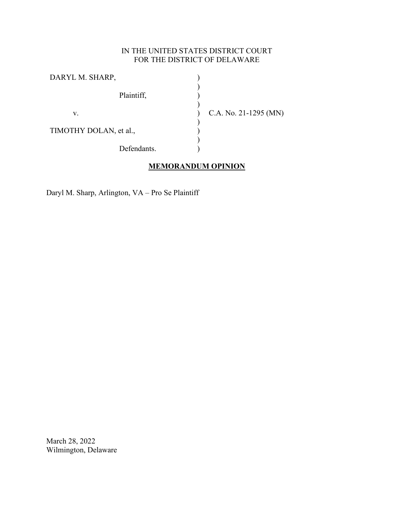# IN THE UNITED STATES DISTRICT COURT FOR THE DISTRICT OF DELAWARE

| DARYL M. SHARP,        |                       |
|------------------------|-----------------------|
| Plaintiff,             |                       |
| v.                     | C.A. No. 21-1295 (MN) |
| TIMOTHY DOLAN, et al., |                       |
| Defendants.            |                       |

# **MEMORANDUM OPINION**

Daryl M. Sharp, Arlington, VA – Pro Se Plaintiff

March 28, 2022 Wilmington, Delaware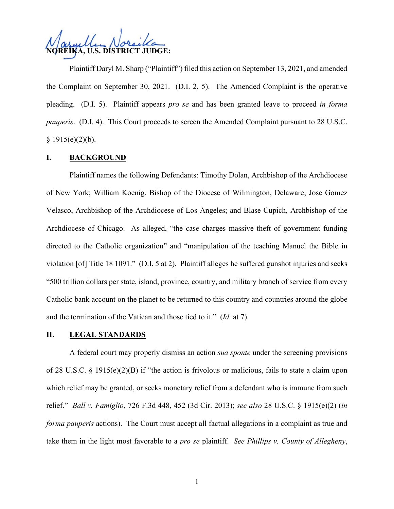**NOREIKA, U.S. DISTRICT JUDGE:**

Plaintiff Daryl M. Sharp ("Plaintiff") filed this action on September 13, 2021, and amended the Complaint on September 30, 2021. (D.I. 2, 5). The Amended Complaint is the operative pleading. (D.I. 5). Plaintiff appears *pro se* and has been granted leave to proceed *in forma pauperis*. (D.I. 4). This Court proceeds to screen the Amended Complaint pursuant to 28 U.S.C.  $§ 1915(e)(2)(b).$ 

### **I. BACKGROUND**

Plaintiff names the following Defendants: Timothy Dolan, Archbishop of the Archdiocese of New York; William Koenig, Bishop of the Diocese of Wilmington, Delaware; Jose Gomez Velasco, Archbishop of the Archdiocese of Los Angeles; and Blase Cupich, Archbishop of the Archdiocese of Chicago. As alleged, "the case charges massive theft of government funding directed to the Catholic organization" and "manipulation of the teaching Manuel the Bible in violation [of] Title 18 1091." (D.I. 5 at 2). Plaintiff alleges he suffered gunshot injuries and seeks "500 trillion dollars per state, island, province, country, and military branch of service from every Catholic bank account on the planet to be returned to this country and countries around the globe and the termination of the Vatican and those tied to it." (*Id.* at 7).

#### **II. LEGAL STANDARDS**

A federal court may properly dismiss an action *sua sponte* under the screening provisions of 28 U.S.C. § 1915(e)(2)(B) if "the action is frivolous or malicious, fails to state a claim upon which relief may be granted, or seeks monetary relief from a defendant who is immune from such relief." *Ball v. Famiglio*, 726 F.3d 448, 452 (3d Cir. 2013); *see also* 28 U.S.C. § 1915(e)(2) (*in forma pauperis* actions). The Court must accept all factual allegations in a complaint as true and take them in the light most favorable to a *pro se* plaintiff. *See Phillips v. County of Allegheny*,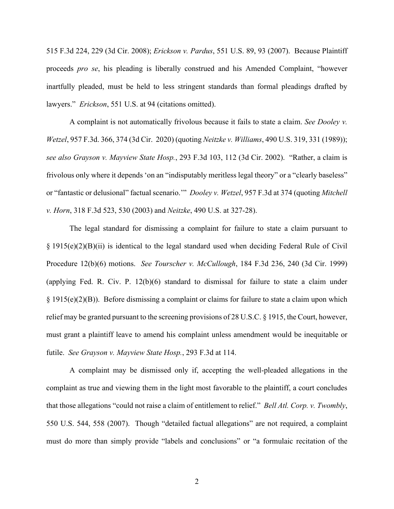515 F.3d 224, 229 (3d Cir. 2008); *Erickson v. Pardus*, 551 U.S. 89, 93 (2007). Because Plaintiff proceeds *pro se*, his pleading is liberally construed and his Amended Complaint, "however inartfully pleaded, must be held to less stringent standards than formal pleadings drafted by lawyers." *Erickson*, 551 U.S. at 94 (citations omitted).

A complaint is not automatically frivolous because it fails to state a claim. *See Dooley v. Wetzel*, 957 F.3d. 366, 374 (3d Cir. 2020) (quoting *Neitzke v. Williams*, 490 U.S. 319, 331 (1989)); *see also Grayson v. Mayview State Hosp.*, 293 F.3d 103, 112 (3d Cir. 2002). "Rather, a claim is frivolous only where it depends 'on an "indisputably meritless legal theory" or a "clearly baseless" or "fantastic or delusional" factual scenario.'" *Dooley v. Wetzel*, 957 F.3d at 374 (quoting *Mitchell v. Horn*, 318 F.3d 523, 530 (2003) and *Neitzke*, 490 U.S. at 327-28).

The legal standard for dismissing a complaint for failure to state a claim pursuant to  $\S 1915(e)(2)(B)(ii)$  is identical to the legal standard used when deciding Federal Rule of Civil Procedure 12(b)(6) motions. *See Tourscher v. McCullough*, 184 F.3d 236, 240 (3d Cir. 1999) (applying Fed. R. Civ. P. 12(b)(6) standard to dismissal for failure to state a claim under § 1915(e)(2)(B)). Before dismissing a complaint or claims for failure to state a claim upon which relief may be granted pursuant to the screening provisions of 28 U.S.C. § 1915, the Court, however, must grant a plaintiff leave to amend his complaint unless amendment would be inequitable or futile. *See Grayson v. Mayview State Hosp.*, 293 F.3d at 114.

A complaint may be dismissed only if, accepting the well-pleaded allegations in the complaint as true and viewing them in the light most favorable to the plaintiff, a court concludes that those allegations "could not raise a claim of entitlement to relief." *Bell Atl. Corp. v. Twombly*, 550 U.S. 544, 558 (2007). Though "detailed factual allegations" are not required, a complaint must do more than simply provide "labels and conclusions" or "a formulaic recitation of the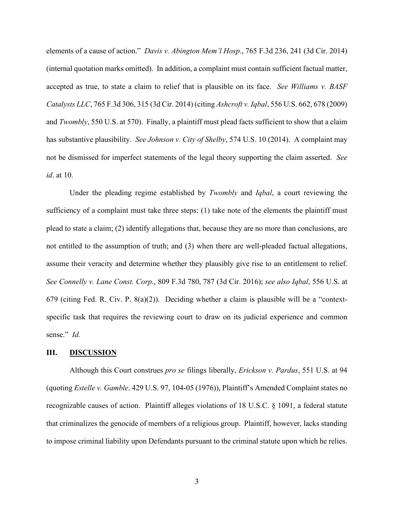elements of a cause of action." *Davis v. Abington Mem'l Hosp*., 765 F.3d 236, 241 (3d Cir. 2014) (internal quotation marks omitted). In addition, a complaint must contain sufficient factual matter, accepted as true, to state a claim to relief that is plausible on its face. *See Williams v. BASF Catalysts LLC*, 765 F.3d 306, 315 (3d Cir. 2014) (citing *Ashcroft v. Iqbal*, 556 U.S. 662, 678 (2009) and *Twombly*, 550 U.S. at 570). Finally, a plaintiff must plead facts sufficient to show that a claim has substantive plausibility. *See Johnson v. City of Shelby*, 574 U.S. 10 (2014). A complaint may not be dismissed for imperfect statements of the legal theory supporting the claim asserted. *See id*. at 10.

Under the pleading regime established by *Twombly* and *Iqbal*, a court reviewing the sufficiency of a complaint must take three steps: (1) take note of the elements the plaintiff must plead to state a claim; (2) identify allegations that, because they are no more than conclusions, are not entitled to the assumption of truth; and (3) when there are well-pleaded factual allegations, assume their veracity and determine whether they plausibly give rise to an entitlement to relief. *See Connelly v. Lane Const. Corp*., 809 F.3d 780, 787 (3d Cir. 2016); *see also Iqbal*, 556 U.S. at 679 (citing Fed. R. Civ. P. 8(a)(2)). Deciding whether a claim is plausible will be a "contextspecific task that requires the reviewing court to draw on its judicial experience and common sense." *Id.*

#### **III. DISCUSSION**

Although this Court construes *pro se* filings liberally, *Erickson v. Pardus*, 551 U.S. at 94 (quoting *Estelle v. Gamble*. 429 U.S. 97, 104-05 (1976)), Plaintiff's Amended Complaint states no recognizable causes of action. Plaintiff alleges violations of 18 U.S.C. § 1091, a federal statute that criminalizes the genocide of members of a religious group. Plaintiff, however, lacks standing to impose criminal liability upon Defendants pursuant to the criminal statute upon which he relies.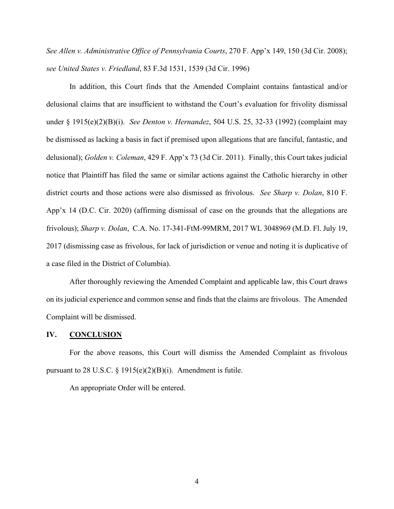*See Allen v. Administrative Office of Pennsylvania Courts*, 270 F. App'x 149, 150 (3d Cir. 2008); *see United States v. Friedland*, 83 F.3d 1531, 1539 (3d Cir. 1996)

In addition, this Court finds that the Amended Complaint contains fantastical and/or delusional claims that are insufficient to withstand the Court's evaluation for frivolity dismissal under § 1915(e)(2)(B)(i). *See Denton v. Hernandez*, 504 U.S. 25, 32-33 (1992) (complaint may be dismissed as lacking a basis in fact if premised upon allegations that are fanciful, fantastic, and delusional); *Golden v. Coleman*, 429 F. App'x 73 (3d Cir. 2011). Finally, this Court takes judicial notice that Plaintiff has filed the same or similar actions against the Catholic hierarchy in other district courts and those actions were also dismissed as frivolous. *See Sharp v. Dolan*, 810 F. App'x 14 (D.C. Cir. 2020) (affirming dismissal of case on the grounds that the allegations are frivolous); *Sharp v. Dolan*, C.A. No. 17-341-FtM-99MRM, 2017 WL 3048969 (M.D. Fl. July 19, 2017 (dismissing case as frivolous, for lack of jurisdiction or venue and noting it is duplicative of a case filed in the District of Columbia).

After thoroughly reviewing the Amended Complaint and applicable law, this Court draws on its judicial experience and common sense and finds that the claims are frivolous. The Amended Complaint will be dismissed.

### **IV. CONCLUSION**

For the above reasons, this Court will dismiss the Amended Complaint as frivolous pursuant to 28 U.S.C.  $\S$  1915(e)(2)(B)(i). Amendment is futile.

An appropriate Order will be entered.